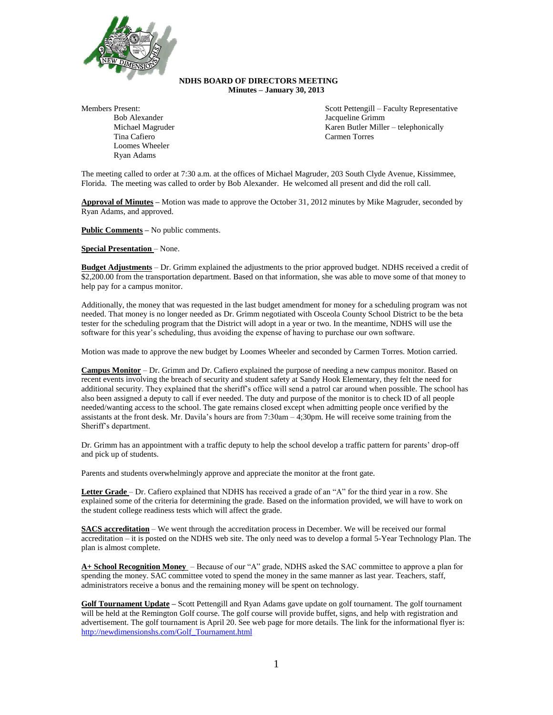

## **NDHS BOARD OF DIRECTORS MEETING Minutes – January 30, 2013**

Members Present:

Bob Alexander Michael Magruder Tina Cafiero Loomes Wheeler Ryan Adams

Scott Pettengill – Faculty Representative Jacqueline Grimm Karen Butler Miller – telephonically Carmen Torres

The meeting called to order at 7:30 a.m. at the offices of Michael Magruder, 203 South Clyde Avenue, Kissimmee, Florida. The meeting was called to order by Bob Alexander. He welcomed all present and did the roll call.

**Approval of Minutes –** Motion was made to approve the October 31, 2012 minutes by Mike Magruder, seconded by Ryan Adams, and approved.

**Public Comments –** No public comments.

**Special Presentation** – None.

**Budget Adjustments** – Dr. Grimm explained the adjustments to the prior approved budget. NDHS received a credit of \$2,200.00 from the transportation department. Based on that information, she was able to move some of that money to help pay for a campus monitor.

Additionally, the money that was requested in the last budget amendment for money for a scheduling program was not needed. That money is no longer needed as Dr. Grimm negotiated with Osceola County School District to be the beta tester for the scheduling program that the District will adopt in a year or two. In the meantime, NDHS will use the software for this year's scheduling, thus avoiding the expense of having to purchase our own software.

Motion was made to approve the new budget by Loomes Wheeler and seconded by Carmen Torres. Motion carried.

**Campus Monitor** – Dr. Grimm and Dr. Cafiero explained the purpose of needing a new campus monitor. Based on recent events involving the breach of security and student safety at Sandy Hook Elementary, they felt the need for additional security. They explained that the sheriff's office will send a patrol car around when possible. The school has also been assigned a deputy to call if ever needed. The duty and purpose of the monitor is to check ID of all people needed/wanting access to the school. The gate remains closed except when admitting people once verified by the assistants at the front desk. Mr. Davila's hours are from 7:30am – 4;30pm. He will receive some training from the Sheriff's department.

Dr. Grimm has an appointment with a traffic deputy to help the school develop a traffic pattern for parents' drop-off and pick up of students.

Parents and students overwhelmingly approve and appreciate the monitor at the front gate.

**Letter Grade** – Dr. Cafiero explained that NDHS has received a grade of an "A" for the third year in a row. She explained some of the criteria for determining the grade. Based on the information provided, we will have to work on the student college readiness tests which will affect the grade.

**SACS accreditation** – We went through the accreditation process in December. We will be received our formal accreditation – it is posted on the NDHS web site. The only need was to develop a formal 5-Year Technology Plan. The plan is almost complete.

**A+ School Recognition Money** – Because of our "A" grade, NDHS asked the SAC committee to approve a plan for spending the money. SAC committee voted to spend the money in the same manner as last year. Teachers, staff, administrators receive a bonus and the remaining money will be spent on technology.

**Golf Tournament Update –** Scott Pettengill and Ryan Adams gave update on golf tournament. The golf tournament will be held at the Remington Golf course. The golf course will provide buffet, signs, and help with registration and advertisement. The golf tournament is April 20. See web page for more details. The link for the informational flyer is: [http://newdimensionshs.com/Golf\\_Tournament.html](http://newdimensionshs.com/Golf_Tournament.html)